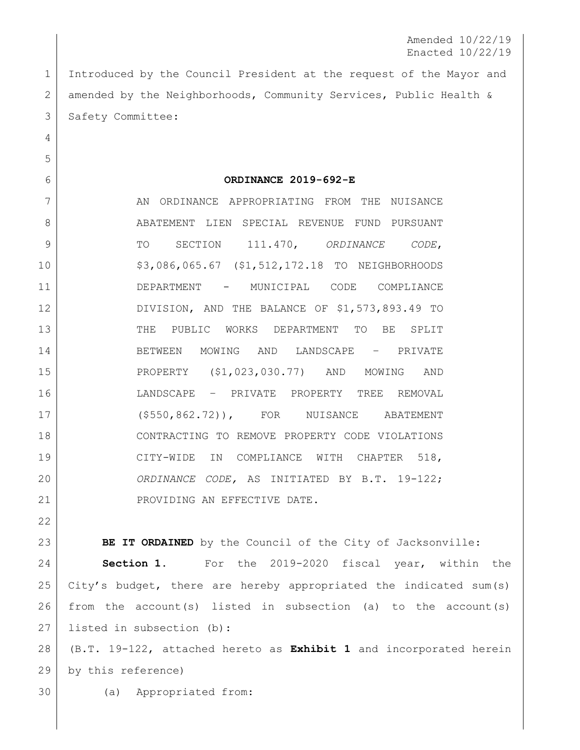Amended 10/22/19 Enacted 10/22/19

 Introduced by the Council President at the request of the Mayor and amended by the Neighborhoods, Community Services, Public Health & 3 | Safety Committee:

**ORDINANCE 2019-692-E**

7 AN ORDINANCE APPROPRIATING FROM THE NUISANCE 8 ABATEMENT LIEN SPECIAL REVENUE FUND PURSUANT TO SECTION 111.470, *ORDINANCE CODE*, \$3,086,065.67 (\$1,512,172.18 TO NEIGHBORHOODS DEPARTMENT - MUNICIPAL CODE COMPLIANCE DIVISION, AND THE BALANCE OF \$1,573,893.49 TO THE PUBLIC WORKS DEPARTMENT TO BE SPLIT BETWEEN MOWING AND LANDSCAPE – PRIVATE PROPERTY (\$1,023,030.77) AND MOWING AND LANDSCAPE – PRIVATE PROPERTY TREE REMOVAL (\$550,862.72)), FOR NUISANCE ABATEMENT CONTRACTING TO REMOVE PROPERTY CODE VIOLATIONS CITY-WIDE IN COMPLIANCE WITH CHAPTER 518, *ORDINANCE CODE,* AS INITIATED BY B.T. 19-122; 21 | PROVIDING AN EFFECTIVE DATE.

**BE IT ORDAINED** by the Council of the City of Jacksonville: **Section 1.** For the 2019-2020 fiscal year, within the City's budget, there are hereby appropriated the indicated sum(s) from the account(s) listed in subsection (a) to the account(s) listed in subsection (b): (B.T. 19-122, attached hereto as **Exhibit 1** and incorporated herein

by this reference)

(a) Appropriated from: